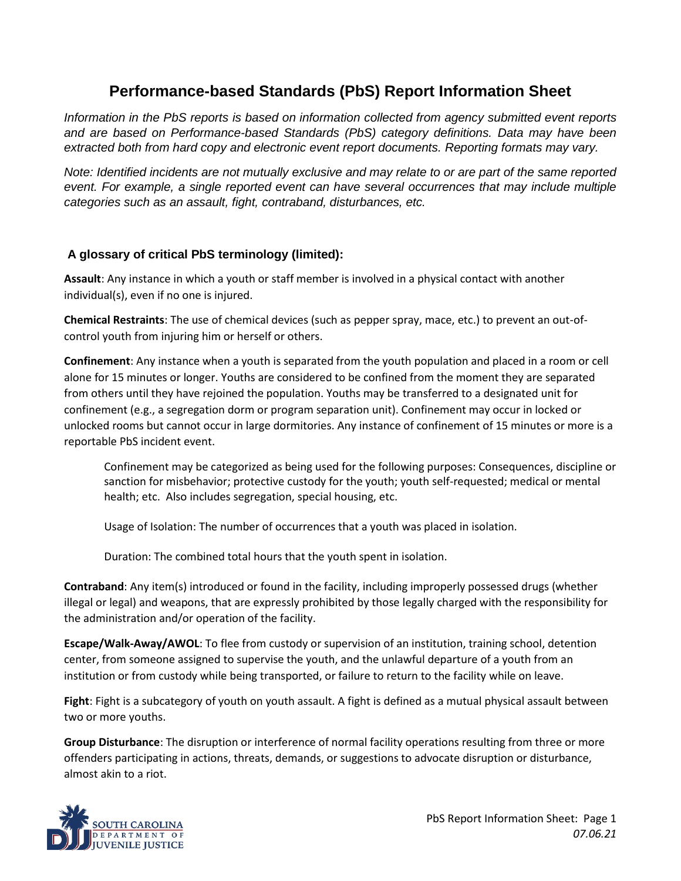## **Performance-based Standards (PbS) Report Information Sheet**

*Information in the PbS reports is based on information collected from agency submitted event reports and are based on Performance-based Standards (PbS) category definitions. Data may have been extracted both from hard copy and electronic event report documents. Reporting formats may vary.* 

*Note: Identified incidents are not mutually exclusive and may relate to or are part of the same reported event. For example, a single reported event can have several occurrences that may include multiple categories such as an assault, fight, contraband, disturbances, etc.* 

## **A glossary of critical PbS terminology (limited):**

**Assault**: Any instance in which a youth or staff member is involved in a physical contact with another individual(s), even if no one is injured.

**Chemical Restraints**: The use of chemical devices (such as pepper spray, mace, etc.) to prevent an out-ofcontrol youth from injuring him or herself or others.

**Confinement**: Any instance when a youth is separated from the youth population and placed in a room or cell alone for 15 minutes or longer. Youths are considered to be confined from the moment they are separated from others until they have rejoined the population. Youths may be transferred to a designated unit for confinement (e.g., a segregation dorm or program separation unit). Confinement may occur in locked or unlocked rooms but cannot occur in large dormitories. Any instance of confinement of 15 minutes or more is a reportable PbS incident event.

Confinement may be categorized as being used for the following purposes: Consequences, discipline or sanction for misbehavior; protective custody for the youth; youth self-requested; medical or mental health; etc. Also includes segregation, special housing, etc.

Usage of Isolation: The number of occurrences that a youth was placed in isolation.

Duration: The combined total hours that the youth spent in isolation.

**Contraband**: Any item(s) introduced or found in the facility, including improperly possessed drugs (whether illegal or legal) and weapons, that are expressly prohibited by those legally charged with the responsibility for the administration and/or operation of the facility.

**Escape/Walk-Away/AWOL**: To flee from custody or supervision of an institution, training school, detention center, from someone assigned to supervise the youth, and the unlawful departure of a youth from an institution or from custody while being transported, or failure to return to the facility while on leave.

**Fight**: Fight is a subcategory of youth on youth assault. A fight is defined as a mutual physical assault between two or more youths.

**Group Disturbance**: The disruption or interference of normal facility operations resulting from three or more offenders participating in actions, threats, demands, or suggestions to advocate disruption or disturbance, almost akin to a riot.